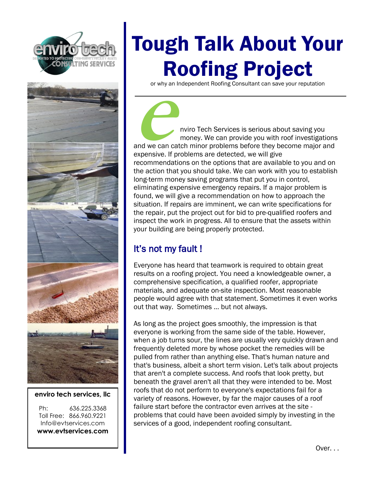



### **enviro tech services, llc**

Ph: 636.225.3368 Toll Free: 866.960.9221 Info@evtservices.com **www.evtservices.com**

# Tough Talk About Your Roofing Project

or why an Independent Roofing Consultant can save your reputation

**e nuite Tech Services is serious about saving you money. We can provide you with roof investigations** and we can catch minor problems before they become major and expensive. If problems are detected, we will give recommendations on the options that are available to you and on the action that you should take. We can work with you to establish long-term money saving programs that put you in control, eliminating expensive emergency repairs. If a major problem is found, we will give a recommendation on how to approach the situation. If repairs are imminent, we can write specifications for the repair, put the project out for bid to pre-qualified roofers and inspect the work in progress. All to ensure that the assets within your building are being properly protected.

## It's not my fault !

Everyone has heard that teamwork is required to obtain great results on a roofing project. You need a knowledgeable owner, a comprehensive specification, a qualified roofer, appropriate materials, and adequate on-site inspection. Most reasonable people would agree with that statement. Sometimes it even works out that way. Sometimes ... but not always.

As long as the project goes smoothly, the impression is that everyone is working from the same side of the table. However, when a job turns sour, the lines are usually very quickly drawn and frequently deleted more by whose pocket the remedies will be pulled from rather than anything else. That's human nature and that's business, albeit a short term vision. Let's talk about projects that aren't a complete success. And roofs that look pretty, but beneath the gravel aren't all that they were intended to be. Most roofs that do not perform to everyone's expectations fail for a variety of reasons. However, by far the major causes of a roof failure start before the contractor even arrives at the site problems that could have been avoided simply by investing in the services of a good, independent roofing consultant.